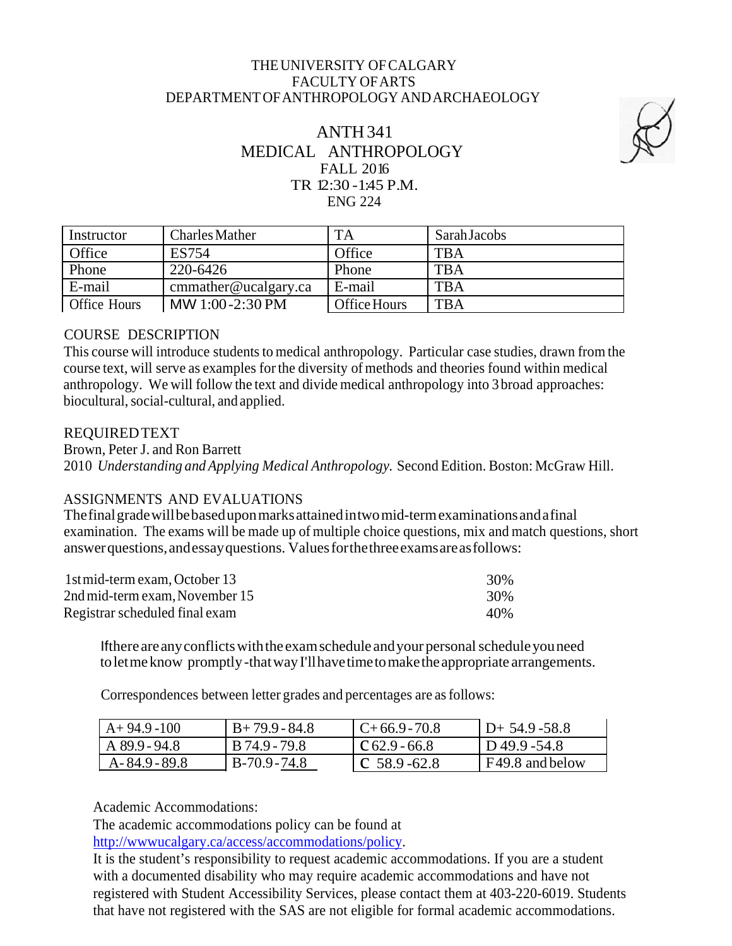## THEUNIVERSITY OFCALGARY FACULTY OFARTS DEPARTMENT OFANTHROPOLOGY ANDARCHAEOLOGY

# ANTH341 MEDICAL ANTHROPOLOGY FALL 2016 TR 12:30 -1:45 P.M. ENG 224



| Instructor   | <b>Charles Mather</b> | <b>TA</b>    | Sarah Jacobs |
|--------------|-----------------------|--------------|--------------|
| Office       | <b>ES754</b>          | Office       | <b>TBA</b>   |
| Phone        | 220-6426              | Phone        | <b>TBA</b>   |
| E-mail       | cmmather@ucalgary.ca  | E-mail       | <b>TBA</b>   |
| Office Hours | MW 1:00-2:30 PM       | Office Hours | <b>TBA</b>   |

## COURSE DESCRIPTION

This course will introduce students to medical anthropology. Particular case studies, drawn from the course text, will serve as examples forthe diversity of methods and theories found within medical anthropology. We will follow the text and divide medical anthropology into 3 broad approaches: biocultural, social-cultural, and applied.

## REQUIREDTEXT

Brown, Peter J. and Ron Barrett 2010 *Understanding and Applying Medical Anthropology.* Second Edition. Boston: McGraw Hill.

## ASSIGNMENTS AND EVALUATIONS

Thefinalgradewillbebaseduponmarksattainedintwomid-termexaminationsandafinal examination. The exams will be made up of multiple choice questions, mix and match questions, short answerquestions,andessayquestions. Valuesforthethreeexamsareasfollows:

| 1st mid-term exam, October 13  | 30% |
|--------------------------------|-----|
| 2nd mid-term exam, November 15 | 30% |
| Registrar scheduled final exam | 40% |

Ifthere areanyconflictswiththe examschedule andyour personalscheduleyouneed toletmeknow promptly-thatwayI'llhavetimetomaketheappropriate arrangements.

Correspondences between letter grades and percentages are asfollows:

| $A+94.9-100$  | $B+79.9-84.8$ | $C+66.9-70.8$           | $D+ 54.9 - 58.8$ |
|---------------|---------------|-------------------------|------------------|
| A 89.9 - 94.8 | B 74.9 - 79.8 | $\Gamma$ C 62.9 - 66.8  | ID49.9-54.8      |
| A-84.9-89.8   | $B-70.9-74.8$ | $\mathsf{CC}$ 58.9-62.8 | F49.8 and below  |

Academic Accommodations:

The academic accommodations policy can be found at

[http://wwwucalgary.ca/access/accommodations/policy.](http://wwwucalgary.ca/access/accommodations/policy)

It is the student's responsibility to request academic accommodations. If you are a student with a documented disability who may require academic accommodations and have not registered with Student Accessibility Services, please contact them at 403-220-6019. Students that have not registered with the SAS are not eligible for formal academic accommodations.